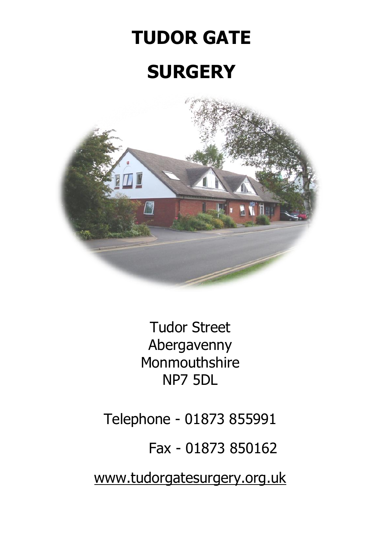# **TUDOR GATE SURGERY**



Tudor Street Abergavenny Monmouthshire NP7 5DL

Telephone - 01873 855991

Fax - 01873 850162

[www.tudorgatesurgery.org.uk](http://www.tudorgatesurgery.org.uk/)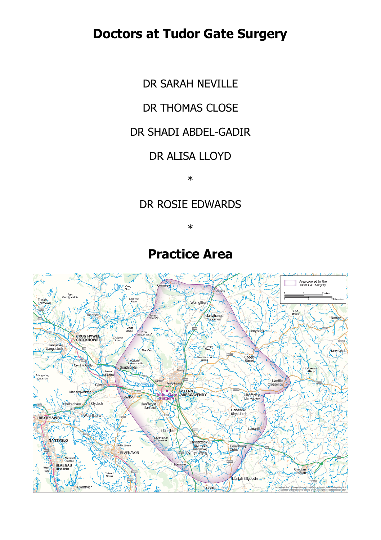# **Doctors at Tudor Gate Surgery**

DR SARAH NEVILLE

#### DR THOMAS CLOSE

#### DR SHADI ABDEL-GADIR

#### DR ALISA LLOYD

\*

#### DR ROSIE EDWARDS

\*

# **Practice Area**

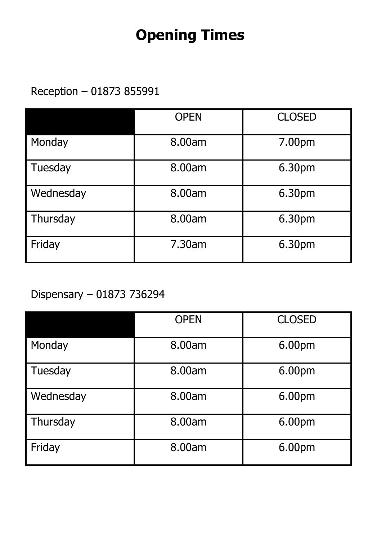# **Opening Times**

Reception – 01873 855991

|           | <b>OPEN</b> | <b>CLOSED</b> |
|-----------|-------------|---------------|
| Monday    | 8.00am      | 7.00pm        |
| Tuesday   | 8.00am      | 6.30pm        |
| Wednesday | 8.00am      | 6.30pm        |
| Thursday  | 8.00am      | 6.30pm        |
| Friday    | 7.30am      | 6.30pm        |

# Dispensary – 01873 736294

|           | <b>OPEN</b> | <b>CLOSED</b> |
|-----------|-------------|---------------|
| Monday    | 8.00am      | 6.00pm        |
| Tuesday   | 8.00am      | 6.00pm        |
| Wednesday | 8.00am      | 6.00pm        |
| Thursday  | 8.00am      | 6.00pm        |
| Friday    | 8.00am      | 6.00pm        |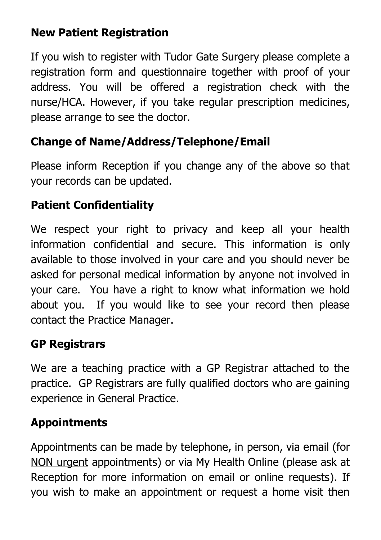# **New Patient Registration**

If you wish to register with Tudor Gate Surgery please complete a registration form and questionnaire together with proof of your address. You will be offered a registration check with the nurse/HCA. However, if you take regular prescription medicines, please arrange to see the doctor.

# **Change of Name/Address/Telephone/Email**

Please inform Reception if you change any of the above so that your records can be updated.

# **Patient Confidentiality**

We respect your right to privacy and keep all your health information confidential and secure. This information is only available to those involved in your care and you should never be asked for personal medical information by anyone not involved in your care. You have a right to know what information we hold about you. If you would like to see your record then please contact the Practice Manager.

# **GP Registrars**

We are a teaching practice with a GP Registrar attached to the practice. GP Registrars are fully qualified doctors who are gaining experience in General Practice.

# **Appointments**

Appointments can be made by telephone, in person, via email (for NON urgent appointments) or via My Health Online (please ask at Reception for more information on email or online requests). If you wish to make an appointment or request a home visit then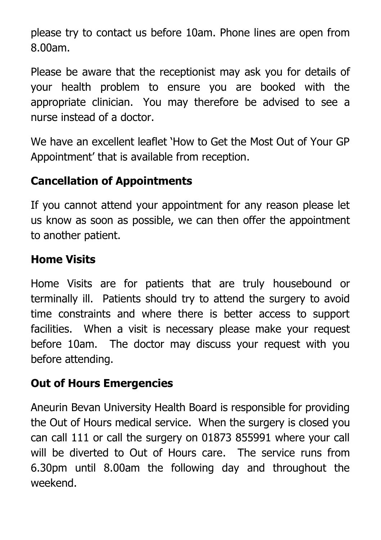please try to contact us before 10am. Phone lines are open from 8.00am.

Please be aware that the receptionist may ask you for details of your health problem to ensure you are booked with the appropriate clinician. You may therefore be advised to see a nurse instead of a doctor.

We have an excellent leaflet 'How to Get the Most Out of Your GP Appointment' that is available from reception.

#### **Cancellation of Appointments**

If you cannot attend your appointment for any reason please let us know as soon as possible, we can then offer the appointment to another patient.

#### **Home Visits**

Home Visits are for patients that are truly housebound or terminally ill. Patients should try to attend the surgery to avoid time constraints and where there is better access to support facilities. When a visit is necessary please make your request before 10am. The doctor may discuss your request with you before attending.

#### **Out of Hours Emergencies**

Aneurin Bevan University Health Board is responsible for providing the Out of Hours medical service. When the surgery is closed you can call 111 or call the surgery on 01873 855991 where your call will be diverted to Out of Hours care. The service runs from 6.30pm until 8.00am the following day and throughout the weekend.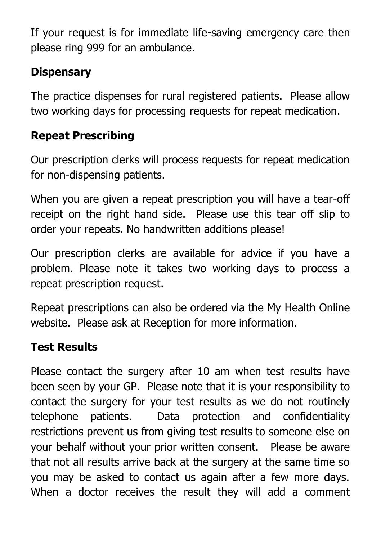If your request is for immediate life-saving emergency care then please ring 999 for an ambulance.

### **Dispensary**

The practice dispenses for rural registered patients. Please allow two working days for processing requests for repeat medication.

# **Repeat Prescribing**

Our prescription clerks will process requests for repeat medication for non-dispensing patients.

When you are given a repeat prescription you will have a tear-off receipt on the right hand side. Please use this tear off slip to order your repeats. No handwritten additions please!

Our prescription clerks are available for advice if you have a problem. Please note it takes two working days to process a repeat prescription request.

Repeat prescriptions can also be ordered via the My Health Online website. Please ask at Reception for more information.

#### **Test Results**

Please contact the surgery after 10 am when test results have been seen by your GP. Please note that it is your responsibility to contact the surgery for your test results as we do not routinely telephone patients. Data protection and confidentiality restrictions prevent us from giving test results to someone else on your behalf without your prior written consent. Please be aware that not all results arrive back at the surgery at the same time so you may be asked to contact us again after a few more days. When a doctor receives the result they will add a comment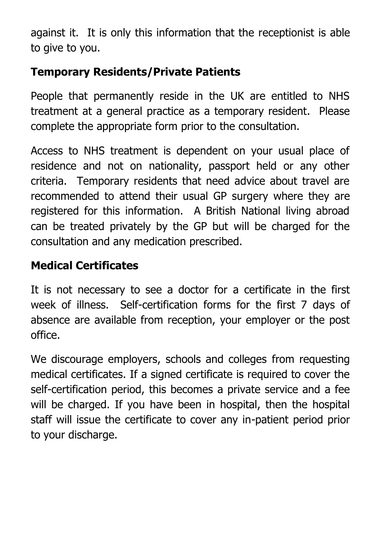against it. It is only this information that the receptionist is able to give to you.

# **Temporary Residents/Private Patients**

People that permanently reside in the UK are entitled to NHS treatment at a general practice as a temporary resident. Please complete the appropriate form prior to the consultation.

Access to NHS treatment is dependent on your usual place of residence and not on nationality, passport held or any other criteria. Temporary residents that need advice about travel are recommended to attend their usual GP surgery where they are registered for this information. A British National living abroad can be treated privately by the GP but will be charged for the consultation and any medication prescribed.

#### **Medical Certificates**

It is not necessary to see a doctor for a certificate in the first week of illness. Self-certification forms for the first 7 days of absence are available from reception, your employer or the post office.

We discourage employers, schools and colleges from requesting medical certificates. If a signed certificate is required to cover the self-certification period, this becomes a private service and a fee will be charged. If you have been in hospital, then the hospital staff will issue the certificate to cover any in-patient period prior to your discharge.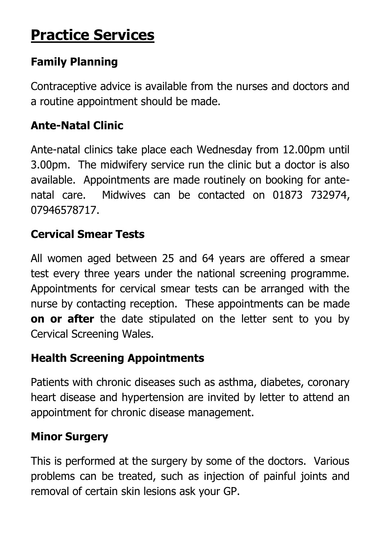# **Practice Services**

# **Family Planning**

Contraceptive advice is available from the nurses and doctors and a routine appointment should be made.

# **Ante-Natal Clinic**

Ante-natal clinics take place each Wednesday from 12.00pm until 3.00pm. The midwifery service run the clinic but a doctor is also available. Appointments are made routinely on booking for antenatal care. Midwives can be contacted on 01873 732974, 07946578717.

#### **Cervical Smear Tests**

All women aged between 25 and 64 years are offered a smear test every three years under the national screening programme. Appointments for cervical smear tests can be arranged with the nurse by contacting reception. These appointments can be made **on or after** the date stipulated on the letter sent to you by Cervical Screening Wales.

# **Health Screening Appointments**

Patients with chronic diseases such as asthma, diabetes, coronary heart disease and hypertension are invited by letter to attend an appointment for chronic disease management.

# **Minor Surgery**

This is performed at the surgery by some of the doctors. Various problems can be treated, such as injection of painful joints and removal of certain skin lesions ask your GP.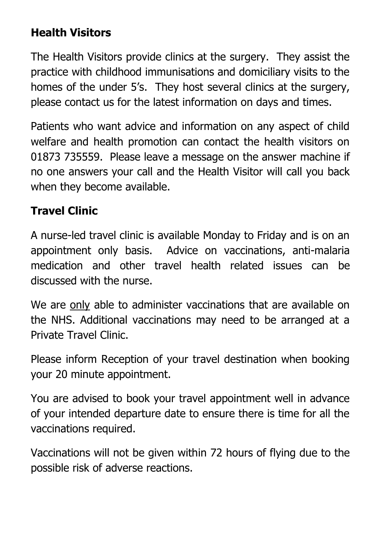#### **Health Visitors**

The Health Visitors provide clinics at the surgery. They assist the practice with childhood immunisations and domiciliary visits to the homes of the under 5's. They host several clinics at the surgery, please contact us for the latest information on days and times.

Patients who want advice and information on any aspect of child welfare and health promotion can contact the health visitors on 01873 735559. Please leave a message on the answer machine if no one answers your call and the Health Visitor will call you back when they become available.

#### **Travel Clinic**

A nurse-led travel clinic is available Monday to Friday and is on an appointment only basis. Advice on vaccinations, anti-malaria medication and other travel health related issues can be discussed with the nurse.

We are only able to administer vaccinations that are available on the NHS. Additional vaccinations may need to be arranged at a Private Travel Clinic.

Please inform Reception of your travel destination when booking your 20 minute appointment.

You are advised to book your travel appointment well in advance of your intended departure date to ensure there is time for all the vaccinations required.

Vaccinations will not be given within 72 hours of flying due to the possible risk of adverse reactions.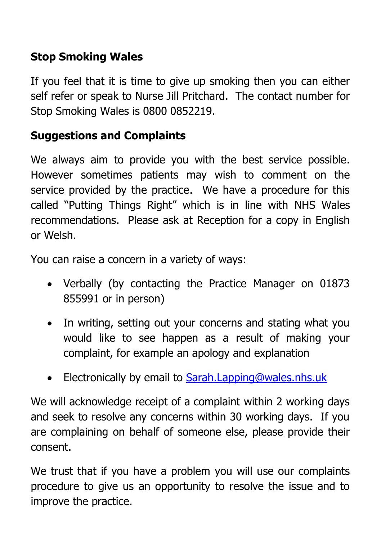# **Stop Smoking Wales**

If you feel that it is time to give up smoking then you can either self refer or speak to Nurse Jill Pritchard. The contact number for Stop Smoking Wales is 0800 0852219.

# **Suggestions and Complaints**

We always aim to provide you with the best service possible. However sometimes patients may wish to comment on the service provided by the practice. We have a procedure for this called "Putting Things Right" which is in line with NHS Wales recommendations. Please ask at Reception for a copy in English or Welsh.

You can raise a concern in a variety of ways:

- Verbally (by contacting the Practice Manager on 01873 855991 or in person)
- In writing, setting out your concerns and stating what you would like to see happen as a result of making your complaint, for example an apology and explanation
- Electronically by email to [Sarah.Lapping@wales.nhs.uk](mailto:Sarah.Lapping@wales.nhs.uk)

We will acknowledge receipt of a complaint within 2 working days and seek to resolve any concerns within 30 working days. If you are complaining on behalf of someone else, please provide their consent.

We trust that if you have a problem you will use our complaints procedure to give us an opportunity to resolve the issue and to improve the practice.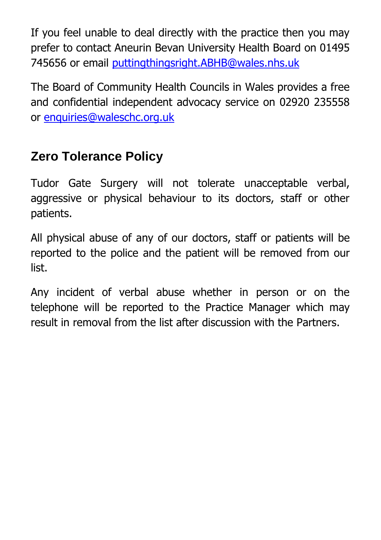If you feel unable to deal directly with the practice then you may prefer to contact Aneurin Bevan University Health Board on 01495 745656 or email [puttingthingsright.ABHB@wales.nhs.uk](mailto:puttingthingsright.ABHB@wales.nhs.uk)

The Board of Community Health Councils in Wales provides a free and confidential independent advocacy service on 02920 235558 or [enquiries@waleschc.org.uk](mailto:enquiries@waleschc.org.uk)

# **Zero Tolerance Policy**

Tudor Gate Surgery will not tolerate unacceptable verbal, aggressive or physical behaviour to its doctors, staff or other patients.

All physical abuse of any of our doctors, staff or patients will be reported to the police and the patient will be removed from our list.

Any incident of verbal abuse whether in person or on the telephone will be reported to the Practice Manager which may result in removal from the list after discussion with the Partners.